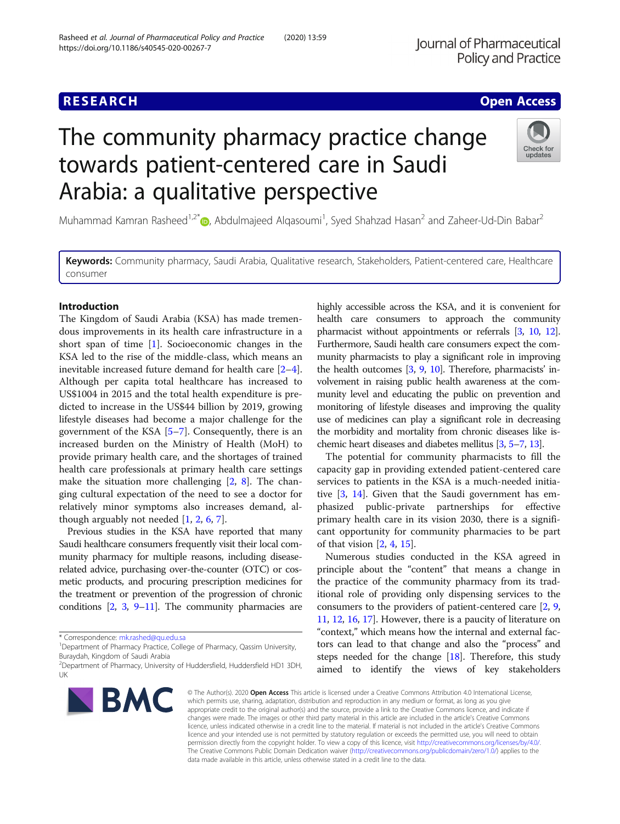# The community pharmacy practice change towards patient-centered care in Saudi Arabia: a qualitative perspective



Muhammad Kamran Rasheed<sup>1,2[\\*](http://orcid.org/0000-0001-5007-4145)</sup> (**b**, Abdulmajeed Alqasoumi<sup>1</sup>, Syed Shahzad Hasan<sup>2</sup> and Zaheer-Ud-Din Babar<sup>2</sup>

Keywords: Community pharmacy, Saudi Arabia, Qualitative research, Stakeholders, Patient-centered care, Healthcare consumer

# Introduction

The Kingdom of Saudi Arabia (KSA) has made tremendous improvements in its health care infrastructure in a short span of time [[1\]](#page-7-0). Socioeconomic changes in the KSA led to the rise of the middle-class, which means an inevitable increased future demand for health care [\[2](#page-7-0)–[4](#page-7-0)]. Although per capita total healthcare has increased to US\$1004 in 2015 and the total health expenditure is predicted to increase in the US\$44 billion by 2019, growing lifestyle diseases had become a major challenge for the government of the KSA [\[5](#page-7-0)–[7](#page-7-0)]. Consequently, there is an increased burden on the Ministry of Health (MoH) to provide primary health care, and the shortages of trained health care professionals at primary health care settings make the situation more challenging [\[2](#page-7-0), [8\]](#page-7-0). The changing cultural expectation of the need to see a doctor for relatively minor symptoms also increases demand, although arguably not needed [[1,](#page-7-0) [2,](#page-7-0) [6,](#page-7-0) [7\]](#page-7-0).

Previous studies in the KSA have reported that many Saudi healthcare consumers frequently visit their local community pharmacy for multiple reasons, including diseaserelated advice, purchasing over-the-counter (OTC) or cosmetic products, and procuring prescription medicines for the treatment or prevention of the progression of chronic conditions [\[2](#page-7-0), [3,](#page-7-0) [9](#page-7-0)–[11\]](#page-7-0). The community pharmacies are

<sup>1</sup> Department of Pharmacy Practice, College of Pharmacy, Qassim University, Buraydah, Kingdom of Saudi Arabia

<sup>2</sup> Department of Pharmacy, University of Huddersfield, Huddersfield HD1 3DH, UK



highly accessible across the KSA, and it is convenient for health care consumers to approach the community pharmacist without appointments or referrals [\[3,](#page-7-0) [10,](#page-7-0) [12](#page-7-0)]. Furthermore, Saudi health care consumers expect the community pharmacists to play a significant role in improving the health outcomes [[3](#page-7-0), [9,](#page-7-0) [10\]](#page-7-0). Therefore, pharmacists' involvement in raising public health awareness at the community level and educating the public on prevention and monitoring of lifestyle diseases and improving the quality use of medicines can play a significant role in decreasing the morbidity and mortality from chronic diseases like ischemic heart diseases and diabetes mellitus [\[3](#page-7-0), [5](#page-7-0)–[7,](#page-7-0) [13](#page-7-0)].

The potential for community pharmacists to fill the capacity gap in providing extended patient-centered care services to patients in the KSA is a much-needed initiative  $[3, 14]$  $[3, 14]$  $[3, 14]$  $[3, 14]$  $[3, 14]$ . Given that the Saudi government has emphasized public-private partnerships for effective primary health care in its vision 2030, there is a significant opportunity for community pharmacies to be part of that vision [[2,](#page-7-0) [4,](#page-7-0) [15](#page-7-0)].

Numerous studies conducted in the KSA agreed in principle about the "content" that means a change in the practice of the community pharmacy from its traditional role of providing only dispensing services to the consumers to the providers of patient-centered care [[2](#page-7-0), [9](#page-7-0), [11](#page-7-0), [12,](#page-7-0) [16,](#page-7-0) [17](#page-7-0)]. However, there is a paucity of literature on "context," which means how the internal and external factors can lead to that change and also the "process" and steps needed for the change  $[18]$ . Therefore, this study aimed to identify the views of key stakeholders

© The Author(s), 2020 **Open Access** This article is licensed under a Creative Commons Attribution 4.0 International License, which permits use, sharing, adaptation, distribution and reproduction in any medium or format, as long as you give appropriate credit to the original author(s) and the source, provide a link to the Creative Commons licence, and indicate if changes were made. The images or other third party material in this article are included in the article's Creative Commons licence, unless indicated otherwise in a credit line to the material. If material is not included in the article's Creative Commons licence and your intended use is not permitted by statutory regulation or exceeds the permitted use, you will need to obtain permission directly from the copyright holder. To view a copy of this licence, visit [http://creativecommons.org/licenses/by/4.0/.](http://creativecommons.org/licenses/by/4.0/) The Creative Commons Public Domain Dedication waiver [\(http://creativecommons.org/publicdomain/zero/1.0/](http://creativecommons.org/publicdomain/zero/1.0/)) applies to the data made available in this article, unless otherwise stated in a credit line to the data.

<sup>\*</sup> Correspondence: [mk.rashed@qu.edu.sa](mailto:mk.rashed@qu.edu.sa) <sup>1</sup>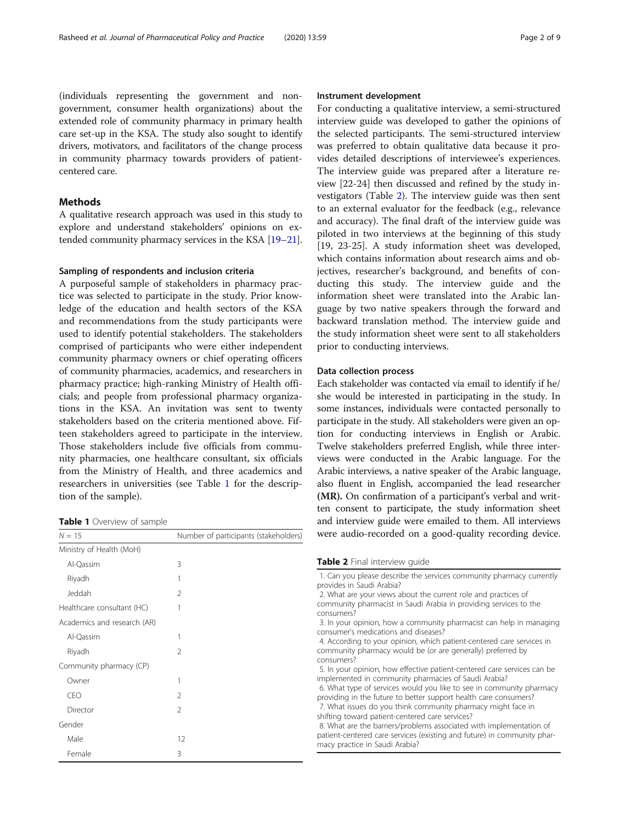(individuals representing the government and nongovernment, consumer health organizations) about the extended role of community pharmacy in primary health care set-up in the KSA. The study also sought to identify drivers, motivators, and facilitators of the change process in community pharmacy towards providers of patientcentered care.

# **Methods**

A qualitative research approach was used in this study to explore and understand stakeholders' opinions on extended community pharmacy services in the KSA [\[19](#page-7-0)–[21](#page-7-0)].

#### Sampling of respondents and inclusion criteria

A purposeful sample of stakeholders in pharmacy practice was selected to participate in the study. Prior knowledge of the education and health sectors of the KSA and recommendations from the study participants were used to identify potential stakeholders. The stakeholders comprised of participants who were either independent community pharmacy owners or chief operating officers of community pharmacies, academics, and researchers in pharmacy practice; high-ranking Ministry of Health officials; and people from professional pharmacy organizations in the KSA. An invitation was sent to twenty stakeholders based on the criteria mentioned above. Fifteen stakeholders agreed to participate in the interview. Those stakeholders include five officials from community pharmacies, one healthcare consultant, six officials from the Ministry of Health, and three academics and researchers in universities (see Table 1 for the description of the sample).

Table 1 Overview of sample

| $N = 15$                    | Number of participants (stakeholders) |
|-----------------------------|---------------------------------------|
| Ministry of Health (MoH)    |                                       |
| Al-Qassim                   | 3                                     |
| Riyadh                      | 1                                     |
| Jeddah                      | 2                                     |
| Healthcare consultant (HC)  | 1                                     |
| Academics and research (AR) |                                       |
| Al-Qassim                   | 1                                     |
| Riyadh                      | 2                                     |
| Community pharmacy (CP)     |                                       |
| Owner                       | 1                                     |
| CEO                         | 2                                     |
| Director                    | 2                                     |
| Gender                      |                                       |
| Male                        | 12                                    |
| Female                      | 3                                     |

# Instrument development

For conducting a qualitative interview, a semi-structured interview guide was developed to gather the opinions of the selected participants. The semi-structured interview was preferred to obtain qualitative data because it provides detailed descriptions of interviewee's experiences. The interview guide was prepared after a literature review [22-24] then discussed and refined by the study investigators (Table 2). The interview guide was then sent to an external evaluator for the feedback (e.g., relevance and accuracy). The final draft of the interview guide was piloted in two interviews at the beginning of this study [19, 23-25]. A study information sheet was developed, which contains information about research aims and objectives, researcher's background, and benefits of conducting this study. The interview guide and the information sheet were translated into the Arabic language by two native speakers through the forward and backward translation method. The interview guide and the study information sheet were sent to all stakeholders prior to conducting interviews.

### Data collection process

Each stakeholder was contacted via email to identify if he/ she would be interested in participating in the study. In some instances, individuals were contacted personally to participate in the study. All stakeholders were given an option for conducting interviews in English or Arabic. Twelve stakeholders preferred English, while three interviews were conducted in the Arabic language. For the Arabic interviews, a native speaker of the Arabic language, also fluent in English, accompanied the lead researcher (MR). On confirmation of a participant's verbal and written consent to participate, the study information sheet and interview guide were emailed to them. All interviews were audio-recorded on a good-quality recording device.

|  |  |  | Table 2 Final interview guide |  |
|--|--|--|-------------------------------|--|
|--|--|--|-------------------------------|--|

1. Can you please describe the services community pharmacy currently provides in Saudi Arabia? 2. What are your views about the current role and practices of community pharmacist in Saudi Arabia in providing services to the consumers? 3. In your opinion, how a community pharmacist can help in managing consumer's medications and diseases? 4. According to your opinion, which patient-centered care services in community pharmacy would be (or are generally) preferred by consumers? 5. In your opinion, how effective patient-centered care services can be implemented in community pharmacies of Saudi Arabia? 6. What type of services would you like to see in community pharmacy providing in the future to better support health care consumers? 7. What issues do you think community pharmacy might face in shifting toward patient-centered care services? 8. What are the barriers/problems associated with implementation of patient-centered care services (existing and future) in community pharmacy practice in Saudi Arabia?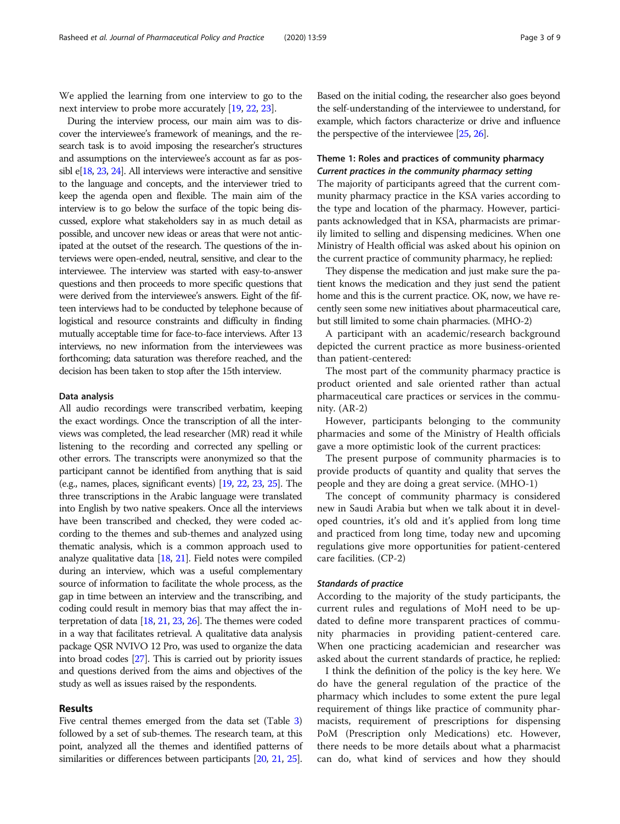We applied the learning from one interview to go to the next interview to probe more accurately [\[19,](#page-7-0) [22](#page-8-0), [23\]](#page-8-0).

During the interview process, our main aim was to discover the interviewee's framework of meanings, and the research task is to avoid imposing the researcher's structures and assumptions on the interviewee's account as far as possibl  $e[18, 23, 24]$  $e[18, 23, 24]$  $e[18, 23, 24]$  $e[18, 23, 24]$  $e[18, 23, 24]$  $e[18, 23, 24]$  $e[18, 23, 24]$ . All interviews were interactive and sensitive to the language and concepts, and the interviewer tried to keep the agenda open and flexible. The main aim of the interview is to go below the surface of the topic being discussed, explore what stakeholders say in as much detail as possible, and uncover new ideas or areas that were not anticipated at the outset of the research. The questions of the interviews were open-ended, neutral, sensitive, and clear to the interviewee. The interview was started with easy-to-answer questions and then proceeds to more specific questions that were derived from the interviewee's answers. Eight of the fifteen interviews had to be conducted by telephone because of logistical and resource constraints and difficulty in finding mutually acceptable time for face-to-face interviews. After 13 interviews, no new information from the interviewees was forthcoming; data saturation was therefore reached, and the decision has been taken to stop after the 15th interview.

### Data analysis

All audio recordings were transcribed verbatim, keeping the exact wordings. Once the transcription of all the interviews was completed, the lead researcher (MR) read it while listening to the recording and corrected any spelling or other errors. The transcripts were anonymized so that the participant cannot be identified from anything that is said (e.g., names, places, significant events) [\[19,](#page-7-0) [22](#page-8-0), [23,](#page-8-0) [25\]](#page-8-0). The three transcriptions in the Arabic language were translated into English by two native speakers. Once all the interviews have been transcribed and checked, they were coded according to the themes and sub-themes and analyzed using thematic analysis, which is a common approach used to analyze qualitative data [\[18,](#page-7-0) [21](#page-7-0)]. Field notes were compiled during an interview, which was a useful complementary source of information to facilitate the whole process, as the gap in time between an interview and the transcribing, and coding could result in memory bias that may affect the interpretation of data [[18](#page-7-0), [21](#page-7-0), [23](#page-8-0), [26](#page-8-0)]. The themes were coded in a way that facilitates retrieval. A qualitative data analysis package QSR NVIVO 12 Pro, was used to organize the data into broad codes [\[27\]](#page-8-0). This is carried out by priority issues and questions derived from the aims and objectives of the study as well as issues raised by the respondents.

# Results

Five central themes emerged from the data set (Table [3](#page-3-0)) followed by a set of sub-themes. The research team, at this point, analyzed all the themes and identified patterns of similarities or differences between participants [[20,](#page-7-0) [21,](#page-7-0) [25](#page-8-0)]. Based on the initial coding, the researcher also goes beyond the self-understanding of the interviewee to understand, for example, which factors characterize or drive and influence the perspective of the interviewee [\[25](#page-8-0), [26](#page-8-0)].

# Theme 1: Roles and practices of community pharmacy Current practices in the community pharmacy setting

The majority of participants agreed that the current community pharmacy practice in the KSA varies according to the type and location of the pharmacy. However, participants acknowledged that in KSA, pharmacists are primarily limited to selling and dispensing medicines. When one Ministry of Health official was asked about his opinion on the current practice of community pharmacy, he replied:

They dispense the medication and just make sure the patient knows the medication and they just send the patient home and this is the current practice. OK, now, we have recently seen some new initiatives about pharmaceutical care, but still limited to some chain pharmacies. (MHO-2)

A participant with an academic/research background depicted the current practice as more business-oriented than patient-centered:

The most part of the community pharmacy practice is product oriented and sale oriented rather than actual pharmaceutical care practices or services in the community. (AR-2)

However, participants belonging to the community pharmacies and some of the Ministry of Health officials gave a more optimistic look of the current practices:

The present purpose of community pharmacies is to provide products of quantity and quality that serves the people and they are doing a great service. (MHO-1)

The concept of community pharmacy is considered new in Saudi Arabia but when we talk about it in developed countries, it's old and it's applied from long time and practiced from long time, today new and upcoming regulations give more opportunities for patient-centered care facilities. (CP-2)

#### Standards of practice

According to the majority of the study participants, the current rules and regulations of MoH need to be updated to define more transparent practices of community pharmacies in providing patient-centered care. When one practicing academician and researcher was asked about the current standards of practice, he replied:

I think the definition of the policy is the key here. We do have the general regulation of the practice of the pharmacy which includes to some extent the pure legal requirement of things like practice of community pharmacists, requirement of prescriptions for dispensing PoM (Prescription only Medications) etc. However, there needs to be more details about what a pharmacist can do, what kind of services and how they should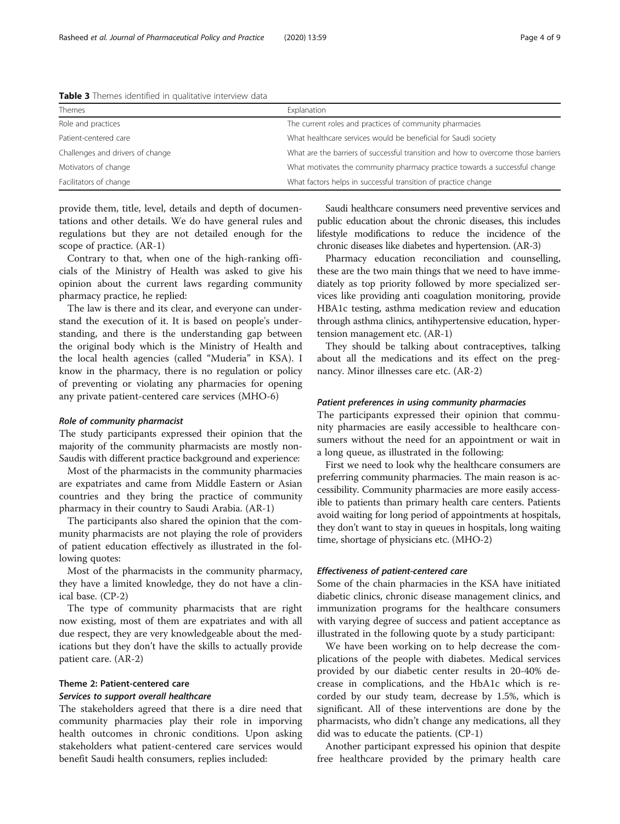<span id="page-3-0"></span>

|  |  | Table 3 Themes identified in qualitative interview data |  |
|--|--|---------------------------------------------------------|--|
|  |  |                                                         |  |

| Themes                           | Explanation                                                                       |
|----------------------------------|-----------------------------------------------------------------------------------|
| Role and practices               | The current roles and practices of community pharmacies                           |
| Patient-centered care            | What healthcare services would be beneficial for Saudi society                    |
| Challenges and drivers of change | What are the barriers of successful transition and how to overcome those barriers |
| Motivators of change             | What motivates the community pharmacy practice towards a successful change        |
| Facilitators of change           | What factors helps in successful transition of practice change                    |

provide them, title, level, details and depth of documentations and other details. We do have general rules and regulations but they are not detailed enough for the scope of practice. (AR-1)

Contrary to that, when one of the high-ranking officials of the Ministry of Health was asked to give his opinion about the current laws regarding community pharmacy practice, he replied:

The law is there and its clear, and everyone can understand the execution of it. It is based on people's understanding, and there is the understanding gap between the original body which is the Ministry of Health and the local health agencies (called "Muderia" in KSA). I know in the pharmacy, there is no regulation or policy of preventing or violating any pharmacies for opening any private patient-centered care services (MHO-6)

#### Role of community pharmacist

The study participants expressed their opinion that the majority of the community pharmacists are mostly non-Saudis with different practice background and experience:

Most of the pharmacists in the community pharmacies are expatriates and came from Middle Eastern or Asian countries and they bring the practice of community pharmacy in their country to Saudi Arabia. (AR-1)

The participants also shared the opinion that the community pharmacists are not playing the role of providers of patient education effectively as illustrated in the following quotes:

Most of the pharmacists in the community pharmacy, they have a limited knowledge, they do not have a clinical base. (CP-2)

The type of community pharmacists that are right now existing, most of them are expatriates and with all due respect, they are very knowledgeable about the medications but they don't have the skills to actually provide patient care. (AR-2)

# Theme 2: Patient-centered care Services to support overall healthcare

The stakeholders agreed that there is a dire need that community pharmacies play their role in imporving health outcomes in chronic conditions. Upon asking stakeholders what patient-centered care services would benefit Saudi health consumers, replies included:

Saudi healthcare consumers need preventive services and public education about the chronic diseases, this includes lifestyle modifications to reduce the incidence of the chronic diseases like diabetes and hypertension. (AR-3)

Pharmacy education reconciliation and counselling, these are the two main things that we need to have immediately as top priority followed by more specialized services like providing anti coagulation monitoring, provide HBA1c testing, asthma medication review and education through asthma clinics, antihypertensive education, hypertension management etc. (AR-1)

They should be talking about contraceptives, talking about all the medications and its effect on the pregnancy. Minor illnesses care etc. (AR-2)

#### Patient preferences in using community pharmacies

The participants expressed their opinion that community pharmacies are easily accessible to healthcare consumers without the need for an appointment or wait in a long queue, as illustrated in the following:

First we need to look why the healthcare consumers are preferring community pharmacies. The main reason is accessibility. Community pharmacies are more easily accessible to patients than primary health care centers. Patients avoid waiting for long period of appointments at hospitals, they don't want to stay in queues in hospitals, long waiting time, shortage of physicians etc. (MHO-2)

#### Effectiveness of patient-centered care

Some of the chain pharmacies in the KSA have initiated diabetic clinics, chronic disease management clinics, and immunization programs for the healthcare consumers with varying degree of success and patient acceptance as illustrated in the following quote by a study participant:

We have been working on to help decrease the complications of the people with diabetes. Medical services provided by our diabetic center results in 20-40% decrease in complications, and the HbA1c which is recorded by our study team, decrease by 1.5%, which is significant. All of these interventions are done by the pharmacists, who didn't change any medications, all they did was to educate the patients. (CP-1)

Another participant expressed his opinion that despite free healthcare provided by the primary health care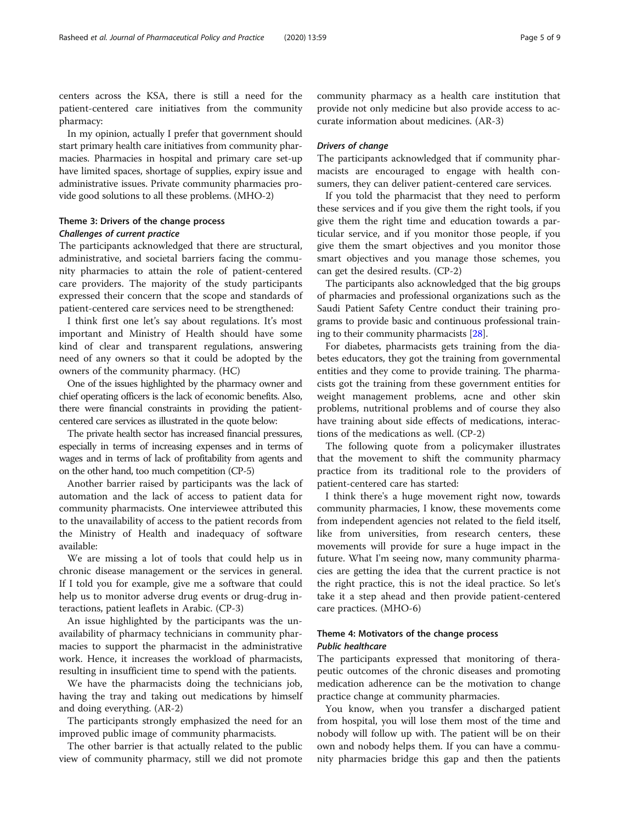centers across the KSA, there is still a need for the patient-centered care initiatives from the community pharmacy:

In my opinion, actually I prefer that government should start primary health care initiatives from community pharmacies. Pharmacies in hospital and primary care set-up have limited spaces, shortage of supplies, expiry issue and administrative issues. Private community pharmacies provide good solutions to all these problems. (MHO-2)

# Theme 3: Drivers of the change process Challenges of current practice

The participants acknowledged that there are structural, administrative, and societal barriers facing the community pharmacies to attain the role of patient-centered care providers. The majority of the study participants expressed their concern that the scope and standards of patient-centered care services need to be strengthened:

I think first one let's say about regulations. It's most important and Ministry of Health should have some kind of clear and transparent regulations, answering need of any owners so that it could be adopted by the owners of the community pharmacy. (HC)

One of the issues highlighted by the pharmacy owner and chief operating officers is the lack of economic benefits. Also, there were financial constraints in providing the patientcentered care services as illustrated in the quote below:

The private health sector has increased financial pressures, especially in terms of increasing expenses and in terms of wages and in terms of lack of profitability from agents and on the other hand, too much competition (CP-5)

Another barrier raised by participants was the lack of automation and the lack of access to patient data for community pharmacists. One interviewee attributed this to the unavailability of access to the patient records from the Ministry of Health and inadequacy of software available:

We are missing a lot of tools that could help us in chronic disease management or the services in general. If I told you for example, give me a software that could help us to monitor adverse drug events or drug-drug interactions, patient leaflets in Arabic. (CP-3)

An issue highlighted by the participants was the unavailability of pharmacy technicians in community pharmacies to support the pharmacist in the administrative work. Hence, it increases the workload of pharmacists, resulting in insufficient time to spend with the patients.

We have the pharmacists doing the technicians job, having the tray and taking out medications by himself and doing everything. (AR-2)

The participants strongly emphasized the need for an improved public image of community pharmacists.

The other barrier is that actually related to the public view of community pharmacy, still we did not promote

community pharmacy as a health care institution that provide not only medicine but also provide access to accurate information about medicines. (AR-3)

# Drivers of change

The participants acknowledged that if community pharmacists are encouraged to engage with health consumers, they can deliver patient-centered care services.

If you told the pharmacist that they need to perform these services and if you give them the right tools, if you give them the right time and education towards a particular service, and if you monitor those people, if you give them the smart objectives and you monitor those smart objectives and you manage those schemes, you can get the desired results. (CP-2)

The participants also acknowledged that the big groups of pharmacies and professional organizations such as the Saudi Patient Safety Centre conduct their training programs to provide basic and continuous professional training to their community pharmacists [\[28\]](#page-8-0).

For diabetes, pharmacists gets training from the diabetes educators, they got the training from governmental entities and they come to provide training. The pharmacists got the training from these government entities for weight management problems, acne and other skin problems, nutritional problems and of course they also have training about side effects of medications, interactions of the medications as well. (CP-2)

The following quote from a policymaker illustrates that the movement to shift the community pharmacy practice from its traditional role to the providers of patient-centered care has started:

I think there's a huge movement right now, towards community pharmacies, I know, these movements come from independent agencies not related to the field itself, like from universities, from research centers, these movements will provide for sure a huge impact in the future. What I'm seeing now, many community pharmacies are getting the idea that the current practice is not the right practice, this is not the ideal practice. So let's take it a step ahead and then provide patient-centered care practices. (MHO-6)

# Theme 4: Motivators of the change process Public healthcare

The participants expressed that monitoring of therapeutic outcomes of the chronic diseases and promoting medication adherence can be the motivation to change practice change at community pharmacies.

You know, when you transfer a discharged patient from hospital, you will lose them most of the time and nobody will follow up with. The patient will be on their own and nobody helps them. If you can have a community pharmacies bridge this gap and then the patients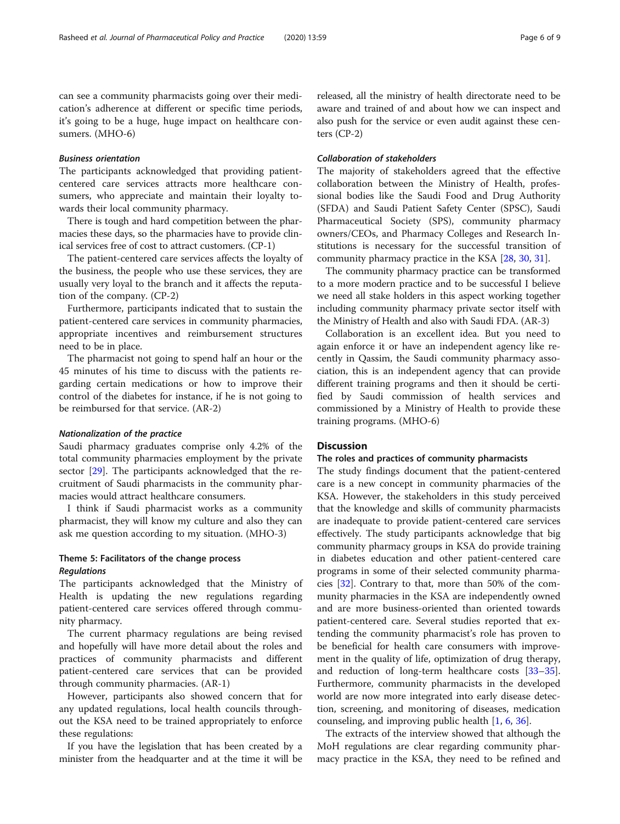can see a community pharmacists going over their medication's adherence at different or specific time periods, it's going to be a huge, huge impact on healthcare consumers. (MHO-6)

#### Business orientation

The participants acknowledged that providing patientcentered care services attracts more healthcare consumers, who appreciate and maintain their loyalty towards their local community pharmacy.

There is tough and hard competition between the pharmacies these days, so the pharmacies have to provide clinical services free of cost to attract customers. (CP-1)

The patient-centered care services affects the loyalty of the business, the people who use these services, they are usually very loyal to the branch and it affects the reputation of the company. (CP-2)

Furthermore, participants indicated that to sustain the patient-centered care services in community pharmacies, appropriate incentives and reimbursement structures need to be in place.

The pharmacist not going to spend half an hour or the 45 minutes of his time to discuss with the patients regarding certain medications or how to improve their control of the diabetes for instance, if he is not going to be reimbursed for that service. (AR-2)

#### Nationalization of the practice

Saudi pharmacy graduates comprise only 4.2% of the total community pharmacies employment by the private sector [\[29](#page-8-0)]. The participants acknowledged that the recruitment of Saudi pharmacists in the community pharmacies would attract healthcare consumers.

I think if Saudi pharmacist works as a community pharmacist, they will know my culture and also they can ask me question according to my situation. (MHO-3)

# Theme 5: Facilitators of the change process **Regulations**

The participants acknowledged that the Ministry of Health is updating the new regulations regarding patient-centered care services offered through community pharmacy.

The current pharmacy regulations are being revised and hopefully will have more detail about the roles and practices of community pharmacists and different patient-centered care services that can be provided through community pharmacies. (AR-1)

However, participants also showed concern that for any updated regulations, local health councils throughout the KSA need to be trained appropriately to enforce these regulations:

If you have the legislation that has been created by a minister from the headquarter and at the time it will be released, all the ministry of health directorate need to be aware and trained of and about how we can inspect and also push for the service or even audit against these centers (CP-2)

#### Collaboration of stakeholders

The majority of stakeholders agreed that the effective collaboration between the Ministry of Health, professional bodies like the Saudi Food and Drug Authority (SFDA) and Saudi Patient Safety Center (SPSC), Saudi Pharmaceutical Society (SPS), community pharmacy owners/CEOs, and Pharmacy Colleges and Research Institutions is necessary for the successful transition of community pharmacy practice in the KSA [[28,](#page-8-0) [30,](#page-8-0) [31](#page-8-0)].

The community pharmacy practice can be transformed to a more modern practice and to be successful I believe we need all stake holders in this aspect working together including community pharmacy private sector itself with the Ministry of Health and also with Saudi FDA. (AR-3)

Collaboration is an excellent idea. But you need to again enforce it or have an independent agency like recently in Qassim, the Saudi community pharmacy association, this is an independent agency that can provide different training programs and then it should be certified by Saudi commission of health services and commissioned by a Ministry of Health to provide these training programs. (MHO-6)

# **Discussion**

#### The roles and practices of community pharmacists

The study findings document that the patient-centered care is a new concept in community pharmacies of the KSA. However, the stakeholders in this study perceived that the knowledge and skills of community pharmacists are inadequate to provide patient-centered care services effectively. The study participants acknowledge that big community pharmacy groups in KSA do provide training in diabetes education and other patient-centered care programs in some of their selected community pharmacies [[32\]](#page-8-0). Contrary to that, more than 50% of the community pharmacies in the KSA are independently owned and are more business-oriented than oriented towards patient-centered care. Several studies reported that extending the community pharmacist's role has proven to be beneficial for health care consumers with improvement in the quality of life, optimization of drug therapy, and reduction of long-term healthcare costs [[33](#page-8-0)–[35](#page-8-0)]. Furthermore, community pharmacists in the developed world are now more integrated into early disease detection, screening, and monitoring of diseases, medication counseling, and improving public health [[1,](#page-7-0) [6,](#page-7-0) [36](#page-8-0)].

The extracts of the interview showed that although the MoH regulations are clear regarding community pharmacy practice in the KSA, they need to be refined and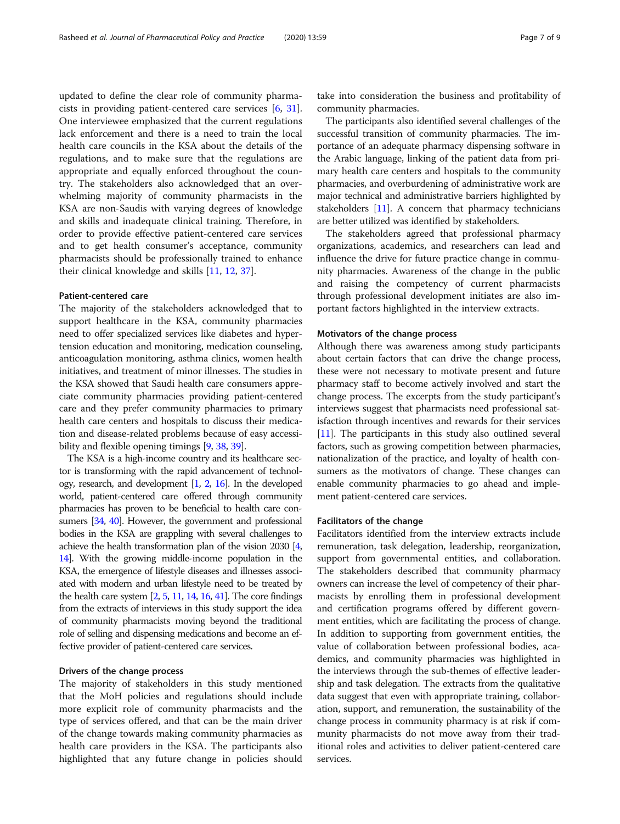updated to define the clear role of community pharmacists in providing patient-centered care services [\[6](#page-7-0), [31](#page-8-0)]. One interviewee emphasized that the current regulations lack enforcement and there is a need to train the local health care councils in the KSA about the details of the regulations, and to make sure that the regulations are appropriate and equally enforced throughout the country. The stakeholders also acknowledged that an overwhelming majority of community pharmacists in the KSA are non-Saudis with varying degrees of knowledge and skills and inadequate clinical training. Therefore, in order to provide effective patient-centered care services and to get health consumer's acceptance, community pharmacists should be professionally trained to enhance their clinical knowledge and skills [\[11](#page-7-0), [12,](#page-7-0) [37\]](#page-8-0).

#### Patient-centered care

The majority of the stakeholders acknowledged that to support healthcare in the KSA, community pharmacies need to offer specialized services like diabetes and hypertension education and monitoring, medication counseling, anticoagulation monitoring, asthma clinics, women health initiatives, and treatment of minor illnesses. The studies in the KSA showed that Saudi health care consumers appreciate community pharmacies providing patient-centered care and they prefer community pharmacies to primary health care centers and hospitals to discuss their medication and disease-related problems because of easy accessibility and flexible opening timings [\[9,](#page-7-0) [38](#page-8-0), [39\]](#page-8-0).

The KSA is a high-income country and its healthcare sector is transforming with the rapid advancement of technology, research, and development [[1](#page-7-0), [2](#page-7-0), [16](#page-7-0)]. In the developed world, patient-centered care offered through community pharmacies has proven to be beneficial to health care consumers [\[34,](#page-8-0) [40](#page-8-0)]. However, the government and professional bodies in the KSA are grappling with several challenges to achieve the health transformation plan of the vision 2030 [\[4](#page-7-0), [14\]](#page-7-0). With the growing middle-income population in the KSA, the emergence of lifestyle diseases and illnesses associated with modern and urban lifestyle need to be treated by the health care system [\[2,](#page-7-0) [5,](#page-7-0) [11,](#page-7-0) [14](#page-7-0), [16,](#page-7-0) [41\]](#page-8-0). The core findings from the extracts of interviews in this study support the idea of community pharmacists moving beyond the traditional role of selling and dispensing medications and become an effective provider of patient-centered care services.

### Drivers of the change process

The majority of stakeholders in this study mentioned that the MoH policies and regulations should include more explicit role of community pharmacists and the type of services offered, and that can be the main driver of the change towards making community pharmacies as health care providers in the KSA. The participants also highlighted that any future change in policies should

take into consideration the business and profitability of community pharmacies.

The participants also identified several challenges of the successful transition of community pharmacies. The importance of an adequate pharmacy dispensing software in the Arabic language, linking of the patient data from primary health care centers and hospitals to the community pharmacies, and overburdening of administrative work are major technical and administrative barriers highlighted by stakeholders [\[11\]](#page-7-0). A concern that pharmacy technicians are better utilized was identified by stakeholders.

The stakeholders agreed that professional pharmacy organizations, academics, and researchers can lead and influence the drive for future practice change in community pharmacies. Awareness of the change in the public and raising the competency of current pharmacists through professional development initiates are also important factors highlighted in the interview extracts.

#### Motivators of the change process

Although there was awareness among study participants about certain factors that can drive the change process, these were not necessary to motivate present and future pharmacy staff to become actively involved and start the change process. The excerpts from the study participant's interviews suggest that pharmacists need professional satisfaction through incentives and rewards for their services [[11](#page-7-0)]. The participants in this study also outlined several factors, such as growing competition between pharmacies, nationalization of the practice, and loyalty of health consumers as the motivators of change. These changes can enable community pharmacies to go ahead and implement patient-centered care services.

#### Facilitators of the change

Facilitators identified from the interview extracts include remuneration, task delegation, leadership, reorganization, support from governmental entities, and collaboration. The stakeholders described that community pharmacy owners can increase the level of competency of their pharmacists by enrolling them in professional development and certification programs offered by different government entities, which are facilitating the process of change. In addition to supporting from government entities, the value of collaboration between professional bodies, academics, and community pharmacies was highlighted in the interviews through the sub-themes of effective leadership and task delegation. The extracts from the qualitative data suggest that even with appropriate training, collaboration, support, and remuneration, the sustainability of the change process in community pharmacy is at risk if community pharmacists do not move away from their traditional roles and activities to deliver patient-centered care services.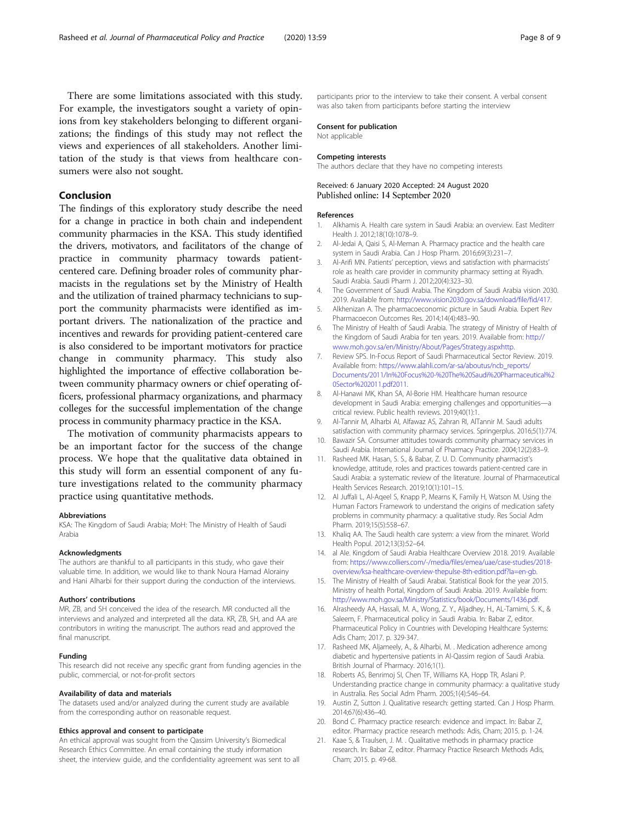<span id="page-7-0"></span>There are some limitations associated with this study. For example, the investigators sought a variety of opinions from key stakeholders belonging to different organizations; the findings of this study may not reflect the views and experiences of all stakeholders. Another limitation of the study is that views from healthcare consumers were also not sought.

# Conclusion

The findings of this exploratory study describe the need for a change in practice in both chain and independent community pharmacies in the KSA. This study identified the drivers, motivators, and facilitators of the change of practice in community pharmacy towards patientcentered care. Defining broader roles of community pharmacists in the regulations set by the Ministry of Health and the utilization of trained pharmacy technicians to support the community pharmacists were identified as important drivers. The nationalization of the practice and incentives and rewards for providing patient-centered care is also considered to be important motivators for practice change in community pharmacy. This study also highlighted the importance of effective collaboration between community pharmacy owners or chief operating officers, professional pharmacy organizations, and pharmacy colleges for the successful implementation of the change process in community pharmacy practice in the KSA.

The motivation of community pharmacists appears to be an important factor for the success of the change process. We hope that the qualitative data obtained in this study will form an essential component of any future investigations related to the community pharmacy practice using quantitative methods.

#### Abbreviations

KSA: The Kingdom of Saudi Arabia; MoH: The Ministry of Health of Saudi Arabia

#### Acknowledgments

The authors are thankful to all participants in this study, who gave their valuable time. In addition, we would like to thank Noura Hamad Alorainy and Hani Alharbi for their support during the conduction of the interviews.

#### Authors' contributions

MR, ZB, and SH conceived the idea of the research. MR conducted all the interviews and analyzed and interpreted all the data. KR, ZB, SH, and AA are contributors in writing the manuscript. The authors read and approved the final manuscript.

#### Funding

This research did not receive any specific grant from funding agencies in the public, commercial, or not-for-profit sectors

#### Availability of data and materials

The datasets used and/or analyzed during the current study are available from the corresponding author on reasonable request.

#### Ethics approval and consent to participate

An ethical approval was sought from the Qassim University's Biomedical Research Ethics Committee. An email containing the study information sheet, the interview guide, and the confidentiality agreement was sent to all participants prior to the interview to take their consent. A verbal consent was also taken from participants before starting the interview

#### Consent for publication

Not applicable

#### Competing interests

The authors declare that they have no competing interests

#### Received: 6 January 2020 Accepted: 24 August 2020 Published online: 14 September 2020

#### References

- 1. Alkhamis A. Health care system in Saudi Arabia: an overview. East Mediterr Health J. 2012;18(10):1078–9.
- 2. Al-Jedai A, Qaisi S, Al-Meman A. Pharmacy practice and the health care system in Saudi Arabia. Can J Hosp Pharm. 2016;69(3):231–7.
- 3. Al-Arifi MN. Patients' perception, views and satisfaction with pharmacists' role as health care provider in community pharmacy setting at Riyadh. Saudi Arabia. Saudi Pharm J. 2012;20(4):323–30.
- 4. The Government of Saudi Arabia. The Kingdom of Saudi Arabia vision 2030. 2019. Available from: [http://www.vision2030.gov.sa/download/file/fid/417.](http://www.vision2030.gov.sa/download/file/fid/417)
- 5. Alkhenizan A. The pharmacoeconomic picture in Saudi Arabia. Expert Rev Pharmacoecon Outcomes Res. 2014;14(4):483–90.
- 6. The Ministry of Health of Saudi Arabia. The strategy of Ministry of Health of the Kingdom of Saudi Arabia for ten years. 2019. Available from: [http://](http://www.moh.gov.sa/en/Ministry/About/Pages/Strategy.aspxhttp) [www.moh.gov.sa/en/Ministry/About/Pages/Strategy.aspxhttp.](http://www.moh.gov.sa/en/Ministry/About/Pages/Strategy.aspxhttp)
- 7. Review SPS. In-Focus Report of Saudi Pharmaceutical Sector Review. 2019. Available from: [https://www.alahli.com/ar-sa/aboutus/ncb\\_reports/](https://www.alahli.com/ar-sa/aboutus/ncb_reports/Documents/2011/In%20Focus%20-%20The%20Saudi%20Pharmaceutical%20Sector%202011.pdf2011) [Documents/2011/In%20Focus%20-%20The%20Saudi%20Pharmaceutical%2](https://www.alahli.com/ar-sa/aboutus/ncb_reports/Documents/2011/In%20Focus%20-%20The%20Saudi%20Pharmaceutical%20Sector%202011.pdf2011) [0Sector%202011.pdf2011](https://www.alahli.com/ar-sa/aboutus/ncb_reports/Documents/2011/In%20Focus%20-%20The%20Saudi%20Pharmaceutical%20Sector%202011.pdf2011).
- 8. Al-Hanawi MK, Khan SA, Al-Borie HM. Healthcare human resource development in Saudi Arabia: emerging challenges and opportunities—a critical review. Public health reviews. 2019;40(1):1.
- 9. Al-Tannir M, Alharbi AI, Alfawaz AS, Zahran RI, AlTannir M. Saudi adults satisfaction with community pharmacy services. Springerplus. 2016;5(1):774.
- 10. Bawazir SA. Consumer attitudes towards community pharmacy services in Saudi Arabia. International Journal of Pharmacy Practice. 2004;12(2):83–9.
- 11. Rasheed MK. Hasan, S. S., & Babar, Z. U. D. Community pharmacist's knowledge, attitude, roles and practices towards patient-centred care in Saudi Arabia: a systematic review of the literature. Journal of Pharmaceutical Health Services Research. 2019;10(1):101–15.
- 12. Al Juffali L, Al-Aqeel S, Knapp P, Mearns K, Family H, Watson M. Using the Human Factors Framework to understand the origins of medication safety problems in community pharmacy: a qualitative study. Res Social Adm Pharm. 2019;15(5):558–67.
- 13. Khaliq AA. The Saudi health care system: a view from the minaret. World Health Popul. 2012;13(3):52–64.
- 14. al AIe. Kingdom of Saudi Arabia Healthcare Overview 2018. 2019. Available from: [https://www.colliers.com/-/media/files/emea/uae/case-studies/2018](https://www.colliers.com/-/media/files/emea/uae/case-studies/2018-overview/ksa-healthcare-overview-thepulse-8th-edition.pdf?la=en-gb) [overview/ksa-healthcare-overview-thepulse-8th-edition.pdf?la=en-gb](https://www.colliers.com/-/media/files/emea/uae/case-studies/2018-overview/ksa-healthcare-overview-thepulse-8th-edition.pdf?la=en-gb).
- 15. The Ministry of Health of Saudi Arabai. Statistical Book for the year 2015. Ministry of health Portal, Kingdom of Saudi Arabia. 2019. Available from: [http://www.moh.gov.sa/Ministry/Statistics/book/Documents/1436.pdf.](http://www.moh.gov.sa/Ministry/Statistics/book/Documents/1436.pdf)
- 16. Alrasheedy AA, Hassali, M. A., Wong, Z. Y., Aljadhey, H., AL-Tamimi, S. K., & Saleem, F. Pharmaceutical policy in Saudi Arabia. In: Babar Z, editor. Pharmaceutical Policy in Countries with Developing Healthcare Systems: Adis Cham; 2017. p. 329-347.
- 17. Rasheed MK, Aljameely, A., & Alharbi, M. . Medication adherence among diabetic and hypertensive patients in Al-Qassim region of Saudi Arabia. British Journal of Pharmacy. 2016;1(1).
- 18. Roberts AS, Benrimoj SI, Chen TF, Williams KA, Hopp TR, Aslani P. Understanding practice change in community pharmacy: a qualitative study in Australia. Res Social Adm Pharm. 2005;1(4):546–64.
- 19. Austin Z, Sutton J. Qualitative research: getting started. Can J Hosp Pharm. 2014;67(6):436–40.
- 20. Bond C. Pharmacy practice research: evidence and impact. In: Babar Z, editor. Pharmacy practice research methods: Adis, Cham; 2015. p. 1-24.
- 21. Kaae S, & Traulsen, J. M. . Qualitative methods in pharmacy practice research. In: Babar Z, editor. Pharmacy Practice Research Methods Adis, Cham; 2015. p. 49-68.